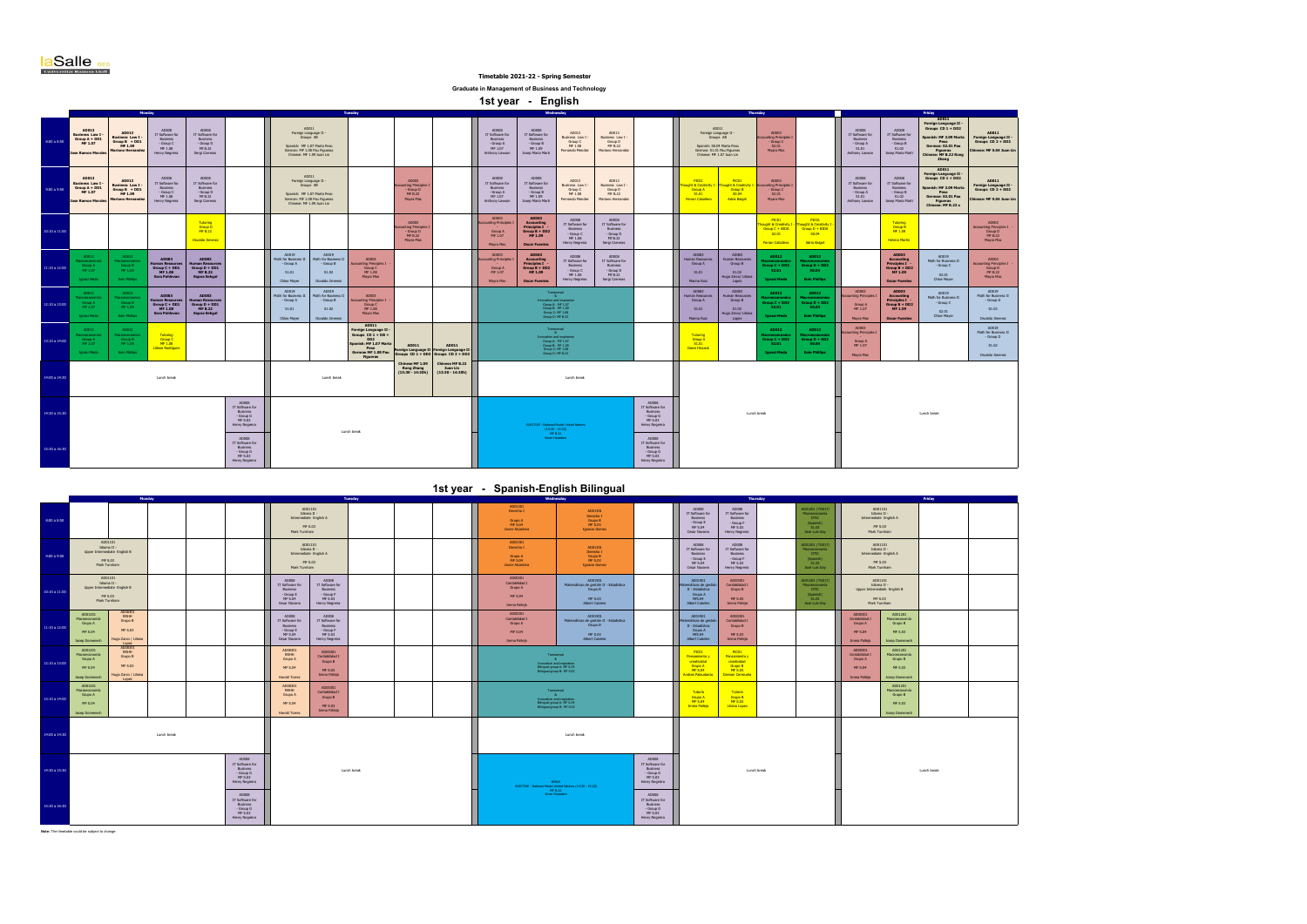**aSalle BES** 

|                   | Universitat Ramon Llull                                                                                                                                                                                                                                                                                                                                                                                                                                                                                                                                                                                                                                                                                                                                                                                                                                                                                                                                                                                                                                                                                                                                                                                                                                                                                                                                                                                      |                                                             |                                                                                |                                                                             |                                                                                       |                                                                   |                                                                               |                                                                                                                                                  |                                                                       |                                                                                         |                                                             | Timetable 2021-22 - Spring Semester                                                                                                   |                                                                                                                                       |                                                                              |                                                                                      |                                                                                                                                             |                                                                                     |                                                                                                      |                                                                                 |                                                            |                                                                                                                |                                                                    |                                                                        |
|-------------------|--------------------------------------------------------------------------------------------------------------------------------------------------------------------------------------------------------------------------------------------------------------------------------------------------------------------------------------------------------------------------------------------------------------------------------------------------------------------------------------------------------------------------------------------------------------------------------------------------------------------------------------------------------------------------------------------------------------------------------------------------------------------------------------------------------------------------------------------------------------------------------------------------------------------------------------------------------------------------------------------------------------------------------------------------------------------------------------------------------------------------------------------------------------------------------------------------------------------------------------------------------------------------------------------------------------------------------------------------------------------------------------------------------------|-------------------------------------------------------------|--------------------------------------------------------------------------------|-----------------------------------------------------------------------------|---------------------------------------------------------------------------------------|-------------------------------------------------------------------|-------------------------------------------------------------------------------|--------------------------------------------------------------------------------------------------------------------------------------------------|-----------------------------------------------------------------------|-----------------------------------------------------------------------------------------|-------------------------------------------------------------|---------------------------------------------------------------------------------------------------------------------------------------|---------------------------------------------------------------------------------------------------------------------------------------|------------------------------------------------------------------------------|--------------------------------------------------------------------------------------|---------------------------------------------------------------------------------------------------------------------------------------------|-------------------------------------------------------------------------------------|------------------------------------------------------------------------------------------------------|---------------------------------------------------------------------------------|------------------------------------------------------------|----------------------------------------------------------------------------------------------------------------|--------------------------------------------------------------------|------------------------------------------------------------------------|
|                   |                                                                                                                                                                                                                                                                                                                                                                                                                                                                                                                                                                                                                                                                                                                                                                                                                                                                                                                                                                                                                                                                                                                                                                                                                                                                                                                                                                                                              |                                                             |                                                                                |                                                                             |                                                                                       |                                                                   |                                                                               |                                                                                                                                                  |                                                                       |                                                                                         | Graduate in Management of Business and Technology           |                                                                                                                                       |                                                                                                                                       |                                                                              |                                                                                      |                                                                                                                                             |                                                                                     |                                                                                                      |                                                                                 |                                                            |                                                                                                                |                                                                    |                                                                        |
|                   | 1st year - English<br>Monday<br><b>Thursday</b><br>Tuesday<br>Friday<br>AD011                                                                                                                                                                                                                                                                                                                                                                                                                                                                                                                                                                                                                                                                                                                                                                                                                                                                                                                                                                                                                                                                                                                                                                                                                                                                                                                                |                                                             |                                                                                |                                                                             |                                                                                       |                                                                   |                                                                               |                                                                                                                                                  |                                                                       |                                                                                         |                                                             |                                                                                                                                       |                                                                                                                                       |                                                                              |                                                                                      |                                                                                                                                             |                                                                                     |                                                                                                      |                                                                                 |                                                            |                                                                                                                |                                                                    |                                                                        |
| 8:00 a 8:50       | Foreign Language II<br>Groups CD 1 + DD2<br>ADD11<br>ADOLS<br>AD013<br>AD008<br>AD008<br>AD008<br>AD008<br>AD008<br>AD008<br>AD013<br>AD013<br>AD003<br>AD013<br>Foreign Language II -<br>Groups AB<br>AD011<br>Foreign Language II -<br><b>Business Law I</b><br>Group A + DD1<br>IT Software for<br>IT Software for<br>IT Software for<br>IT Software for<br>IT Software for<br>IT Software for<br>Groups AB<br>Spanish: MF 3.09 Marta<br>Business Law I<br>Business Law I -<br>Group B + DD1<br>Business Law I<br>unting Principles<br>Foreign Language II<br>Groups CD 2 + DD2<br>Business<br>Business<br><b>Business</b><br>Business<br>Business<br>Business<br>Group C<br>Group D<br>Group C<br>Peso<br>MF 1.07<br>- Group A<br>$-$ Group B<br>$-$ Group C<br>- Group D<br>- Group A<br>$-$ Group B<br>MF 1.09<br>Spanish: MF 1.07 Marta Peso<br>MF 1.08<br>MF 8.22<br>Spanish: S0.04 Marta Peso<br>\$2.01<br>German: \$2.01 Pau<br>MF 1.08<br>Mf B.22<br>MF 1.07<br>MF 1.09<br>S1.01<br>S1.02<br>inese: MF S.04 Juan Lin<br>lariano Hernan<br>German: MF 1.08 Pau Figueras<br>Chinese: MF 1.09 Juan Lin<br>Fernando Mendez<br>Mariano Hernandez<br>German: S1.01 Pau Figueras<br>Chinese: MF 1.07 Juan Lin<br>Myana Mas<br>Figueras<br>Chinese: MF B.22 Rong<br>Henry Negreira<br>Sergi Carreras<br>Anthony Lawson<br>Josep Maria Marti<br>Anthony Lawson<br>Josep Maria Marti<br>se Bamon h<br>Zhang |                                                             |                                                                                |                                                                             |                                                                                       |                                                                   |                                                                               |                                                                                                                                                  |                                                                       |                                                                                         |                                                             |                                                                                                                                       |                                                                                                                                       |                                                                              |                                                                                      |                                                                                                                                             |                                                                                     |                                                                                                      |                                                                                 |                                                            |                                                                                                                |                                                                    |                                                                        |
| 9:00 a 9:50       | ADD11<br>AD013<br>AD008<br>AD008<br>AD008<br><b>AD008</b><br>ADD13<br>40013<br>etchs<br><b>PECIN</b><br>ADDR3<br>AD013<br>ADOD3<br>Foreign Language II -<br>Groups AB<br>IT Software for<br>IT Software for<br>IT Software for<br>IT Software for<br><b>Business Law I</b><br>Group A + DD1<br>Business Law I<br>Business Law I<br>oht & Creat<br>nting Principles<br><b>Business Law I-</b><br>ting Principle<br>ght & Creativity<br>Business<br>- Group C<br><b>Business</b><br>Business<br>Business<br>Group B + DD1<br>Group C<br>Group D<br>Group A<br>Group B<br>Group D<br>Group C<br>- Group D<br>$-$ Group $B$<br>MF 1.07<br>- Group A<br>MF 1.09<br>Spanish: MF 1.07 Marta Peso<br>MF B.22<br>MF 1.08<br>MF 8.22<br>S1.01<br>50.04<br>S2.01<br>Moina Mas<br>MF 1.08<br>MTB.22<br>MF 1.07<br>MF 1.09<br><b>Ferran Caballers</b><br><b>Adria Balget</b><br>fariano Hernan<br>Fernando Mendez<br>Mariano Hernandez<br>Henry Negreira<br>Sergi Carreras<br>Anthony Lawsor<br>Josep Maria Marti<br>se Bamon Me<br>Chinese: MF 1.09 Juan Lin                                                                                                                                                                                                                                                                                                                                                             |                                                             |                                                                                |                                                                             |                                                                                       |                                                                   |                                                                               |                                                                                                                                                  |                                                                       |                                                                                         |                                                             |                                                                                                                                       |                                                                                                                                       | AD008<br>IT Software for<br>Business<br>- Group A<br>S1.01<br>Anthony Lawso  | AD008<br>IT Software for<br>Business<br>- Group B<br>S1.02<br>Josep Maria Marti      | AD011<br>Foreign Language II<br>Groups CD 1 + DD2<br>ioanish: MF 3.09 Marta<br>Peso<br>German: \$2.01 Pau<br>Figueras<br>Chinese: MF B.22 x | <b>AD011</b><br>Foreign Language II<br>Groups CD 2 + DD2<br>inese: MF S.04 Juan Lin |                                                                                                      |                                                                                 |                                                            |                                                                                                                |                                                                    |                                                                        |
| 10:10 a 11:00     |                                                                                                                                                                                                                                                                                                                                                                                                                                                                                                                                                                                                                                                                                                                                                                                                                                                                                                                                                                                                                                                                                                                                                                                                                                                                                                                                                                                                              |                                                             |                                                                                | Tutoring<br>Group D<br><b>MF B.22</b><br>Osvaldo Jimenez                    |                                                                                       |                                                                   |                                                                               |                                                                                                                                                  | AD003<br><b>Inting Principle</b><br>- Group D<br>MF B.22<br>Mayra Mas |                                                                                         | AD003<br>ting Principle<br>Group A<br>NF 1.07<br>Mayra Mas  | AD003<br><b>Accounting</b><br>Principles I<br>Group B + DD2<br>MF 1.09<br><b>Oscar Fuente</b>                                         | ADDR<br>IT Software for<br>Business<br>- Group C<br>MF 1.08<br>Henry Negreira                                                         | ADDR<br>IT Software for<br>Business<br>- Group D<br>M 8.22<br>Sergi Carreras |                                                                                      |                                                                                                                                             |                                                                                     | <b>PECIN</b><br><b>ught &amp; Creativity 1</b><br>$\frac{Group C + BIDA}{S2.01}$<br>Ferran Caballero | PIC01<br>ought & Creativity 1<br>Group D + BEDA<br>SO.04<br><b>Adria Baiget</b> |                                                            | Tutoring<br>Group B<br>MF 1.09<br><b>Helena Martin</b>                                                         |                                                                    | AD003<br><b>Accounting Principles I</b><br>Group D<br>Mayra Mas        |
| $11:10$ a $12:00$ | AD012<br><b>Management</b><br>Group A<br>MF 1.07<br><b>Innaci Morta</b>                                                                                                                                                                                                                                                                                                                                                                                                                                                                                                                                                                                                                                                                                                                                                                                                                                                                                                                                                                                                                                                                                                                                                                                                                                                                                                                                      | AD012<br>Group B<br>MF 1.09<br><b>Eoin Phillips</b>         | AD083<br>man Resour<br>Group $C + DD1$<br>MF 1.08<br>Sara Pahleyar             | <b>AD083</b><br>man Reso<br>Group $D + DD1$<br>MF B.22<br>Sapna Sehgal      |                                                                                       | ADDI9<br>Math for Business<br>- Group A<br>\$1.01<br>Chioe Mayer  | AD019<br>th for Business I<br>- Group B<br>S1.02<br>Osvaldo Jimenez           | AD003<br>nting Principles I<br>Group C<br>MF 1.08<br><b>Mayra Mas</b>                                                                            |                                                                       |                                                                                         | ADODR<br>ting Principles<br>Group A<br>NF 1.07<br>Mayra Mas | AD003<br><b>Accounting</b><br>Principles I<br>Group B + DD2<br>MF 1.09<br><b>Oscar Fuentes</b>                                        | ADDR<br>IT Software for<br>Business<br>- Group C<br>MF 1.08<br>Henry Negreira                                                         | ADDR<br>IT Software for<br>Business<br>Group D<br>M(8.22<br>Sergi Carreras   |                                                                                      | ADDR3<br>Human Resources<br>Group A<br>S1.01<br>Marina Ruiz                                                                                 | AD083<br><b>Iuman Resources</b><br>Group B<br>S1.02<br>lugo Zarco/ Liliana<br>Lopez | AD012<br>Group $C + DD2$<br>$$2.01$<br><b>Ignasi Meda</b>                                            | AD012<br>Group $D + DD2$<br>$50.04$<br><b>Eoin Phillips</b>                     |                                                            | AD003<br>Accounting<br>Principles I<br>Group $B + DD2$<br>MF 1.09<br><b>Oscar Fuentes</b>                      | 40019<br>Math for Business II<br>- Group C<br>S2.01<br>Chice Mayer | AD003<br>ccounting Principles I<br>Group D<br>MF B.22<br>Mayra Mas     |
| 12:10 a 13:00     | AD012<br>seconomi<br>Group A<br>Ignasi Meda                                                                                                                                                                                                                                                                                                                                                                                                                                                                                                                                                                                                                                                                                                                                                                                                                                                                                                                                                                                                                                                                                                                                                                                                                                                                                                                                                                  | AD012<br>Group B<br>MF 1.00<br>Eoin Phillips                | <b>AD083</b><br>luman Resourc<br>Group $C + DD1$<br>MF $1.08$<br>Sara Pahlevan | <b>AD083</b><br>man Resourc<br>Group $D + DD1$<br>MF $B.22$<br>Sapna Sehgal |                                                                                       | AD019<br>Math for Business I<br>- Group A<br>S1.01<br>Chioe Mayer | AD019<br>lath for Business II<br>- Group B<br>S1.02<br><b>Osvaldo Jimenez</b> | AD003<br>ting Principles I<br>Group C<br>MF 1.08<br><b>Mayra Mas</b>                                                                             |                                                                       |                                                                                         |                                                             | Transvers $\frac{1}{\Delta}$<br>Ennovation and Impirer<br>Group & MF 1.07<br>Group B: MF 1.09<br>Group C: MF 1.08<br>Group D: MF 8.22 |                                                                                                                                       |                                                                              |                                                                                      | AD083<br>luman Reso<br>Group A<br>S1.01<br>Marina Ruiz                                                                                      | AD083<br><b>Juman Resor</b><br>Group B<br>S1.02<br>lugo Zarco/ Liliana<br>Lopez     | AD012<br>Group C + DD:<br>\$2.01<br><b>Ignasi Meda</b>                                               | AD012<br>Group D + DD:<br>Sn na<br><b>Eoin Phillips</b>                         | AD003<br>ting Principle<br>Group A<br>MF 1.07<br>Mayra Mas | <b>AD003</b><br><b>Accounting</b><br><b>Principles I</b><br>Group $B + DD2$<br>MF 1.09<br><b>Oscar Fuentes</b> | AD019<br>Math for Business II<br>- Group C<br>52.01<br>Chice Mayer | AD019<br>Math for Business II<br>- Group D<br>S1.02<br>Osvaldo Jimenez |
| 13:10 a 14:00     | AD012<br>roaconomi<br>Group A<br><b>Ionasi Meda</b>                                                                                                                                                                                                                                                                                                                                                                                                                                                                                                                                                                                                                                                                                                                                                                                                                                                                                                                                                                                                                                                                                                                                                                                                                                                                                                                                                          | AD012<br>roeconor<br>$rac{GroupB}{MF1.00}$<br>Eoin Phillips | Tutoring<br>Group C<br>MF 1.08<br>Liliana Rodriguez                            |                                                                             |                                                                                       |                                                                   |                                                                               | AD011<br>Foreign Language II<br>Groups CD 1 + DB +<br>DD <sub>2</sub><br>Spanish: MF 1.07 Marti<br>Post<br>German MF 1.08 Pau<br><b>Figueras</b> | AD011                                                                 | AD011<br>Foreign Language II Foreign Language II<br>Groups CD 1 + DD2 Groups CD 2 + DD2 |                                                             |                                                                                                                                       | Transversal $\mathbf{R}$<br>Emovation and Imaginarios<br>Group B: MF 1.07<br>Group B: MF 1.09<br>Group D: MF 1.08<br>Group D: MF 8.22 |                                                                              |                                                                                      | Tutoring<br>Group A<br>S1.01<br><b>Dawn Historick</b>                                                                                       |                                                                                     | AD012<br>acroeconomi<br>Iroup C + DD<br>\$2.01<br><b>Ionasi Meda</b>                                 | AD012<br><b>Iroup D + DD</b><br><b>SO.04</b><br><b>Eoin Phillips</b>            | AD003<br>ing Principle<br>Group A<br>MF 1.07<br>Mayra Mas  |                                                                                                                |                                                                    | AD019<br>Math for Business II<br>- Group D<br>S1.02<br>Osvaldo Jimenez |
| 14:00 a 14:3      |                                                                                                                                                                                                                                                                                                                                                                                                                                                                                                                                                                                                                                                                                                                                                                                                                                                                                                                                                                                                                                                                                                                                                                                                                                                                                                                                                                                                              |                                                             | Lunch break                                                                    |                                                                             |                                                                                       |                                                                   | Lunch break                                                                   |                                                                                                                                                  | Chinese MF 1.09<br>Rong Zhang<br>(13:30 - 14:20h)                     | Chinese MF B.22<br>Juan Lin<br>(13:30 - 14:20h)                                         |                                                             |                                                                                                                                       | Lunch break                                                                                                                           |                                                                              |                                                                                      |                                                                                                                                             |                                                                                     |                                                                                                      |                                                                                 |                                                            |                                                                                                                |                                                                    |                                                                        |
| 14:30 a 15:30     |                                                                                                                                                                                                                                                                                                                                                                                                                                                                                                                                                                                                                                                                                                                                                                                                                                                                                                                                                                                                                                                                                                                                                                                                                                                                                                                                                                                                              |                                                             |                                                                                |                                                                             | ADODR<br>IT Software for<br>Business<br>- Group G<br><b>MF S.03</b><br>Henry Negreira |                                                                   |                                                                               |                                                                                                                                                  |                                                                       |                                                                                         |                                                             |                                                                                                                                       |                                                                                                                                       |                                                                              | ADDR<br>IT Software for<br><b>Business</b><br>- Group G<br>ME S OR<br>Henry Negreira | Lunch break                                                                                                                                 |                                                                                     |                                                                                                      |                                                                                 | Lunch break                                                |                                                                                                                |                                                                    |                                                                        |
| 15:30 a 16:30     | <b>PLECTIVE - National Model Hollard Station</b><br>$(14:30 - 15:20)$<br>Lunch break<br>MF 8.22<br><b>Gran Hyunday</b><br>AD008<br>AD008<br>IT Software for<br>IT Software for<br>Business<br><b>Business</b><br>$-$ Group G<br>- Group G<br>MF S.03<br>Henry Negreira<br>Henry Negreira                                                                                                                                                                                                                                                                                                                                                                                                                                                                                                                                                                                                                                                                                                                                                                                                                                                                                                                                                                                                                                                                                                                     |                                                             |                                                                                |                                                                             |                                                                                       |                                                                   |                                                                               |                                                                                                                                                  |                                                                       |                                                                                         |                                                             |                                                                                                                                       |                                                                                                                                       |                                                                              |                                                                                      |                                                                                                                                             |                                                                                     |                                                                                                      |                                                                                 |                                                            |                                                                                                                |                                                                    |                                                                        |
|                   | 1st year - Spanish-English Bilingual<br><b>Friday</b><br>Monday<br><b>Tuesday</b><br><b>Thursday</b>                                                                                                                                                                                                                                                                                                                                                                                                                                                                                                                                                                                                                                                                                                                                                                                                                                                                                                                                                                                                                                                                                                                                                                                                                                                                                                         |                                                             |                                                                                |                                                                             |                                                                                       |                                                                   |                                                                               |                                                                                                                                                  |                                                                       |                                                                                         |                                                             |                                                                                                                                       |                                                                                                                                       |                                                                              |                                                                                      |                                                                                                                                             |                                                                                     |                                                                                                      |                                                                                 |                                                            |                                                                                                                |                                                                    |                                                                        |
| 8:00 a 8:50       | AD01301<br>AD01101<br><b>ADDR</b><br>AD008<br>AD01101<br>D01201 (TGD)<br>Derecho I<br>AD01301<br>Idens II -<br>IT Software for<br>IT Software for<br>Minera II -<br>Derecho I<br>Grupo B<br><b>OTIC</b><br>Intermediate English A<br><b>Pascingoco</b><br>Business<br>Intermediate English A<br>Grupo A<br>- Group E<br>- Group F<br>$(Spanish)$<br>$S1.02$<br>MESO4<br><b>MF S.03</b><br><b>MF S.04</b><br>MF S.03<br>MF S.03<br>MF S.03<br><b>Taylor Airpotara</b><br><b>Ignacio Gomez</b><br>Mark Turnham<br>Cesar Navam<br>Mark Turnham<br>Henry Negreira<br>Jose Luis Gar                                                                                                                                                                                                                                                                                                                                                                                                                                                                                                                                                                                                                                                                                                                                                                                                                               |                                                             |                                                                                |                                                                             |                                                                                       |                                                                   |                                                                               |                                                                                                                                                  |                                                                       |                                                                                         |                                                             |                                                                                                                                       |                                                                                                                                       |                                                                              |                                                                                      |                                                                                                                                             |                                                                                     |                                                                                                      |                                                                                 |                                                            |                                                                                                                |                                                                    |                                                                        |
|                   |                                                                                                                                                                                                                                                                                                                                                                                                                                                                                                                                                                                                                                                                                                                                                                                                                                                                                                                                                                                                                                                                                                                                                                                                                                                                                                                                                                                                              | AD01101<br>Idioma II -                                      |                                                                                |                                                                             |                                                                                       |                                                                   | AD01101<br>Idioma II                                                          |                                                                                                                                                  |                                                                       |                                                                                         |                                                             | AD01301<br>Derecho I                                                                                                                  |                                                                                                                                       | AD01301                                                                      |                                                                                      | AD008<br>IT Software fo                                                                                                                     | ADO08                                                                               |                                                                                                      | AD01201 (TG017)                                                                 |                                                            | AD01101<br>Idioma II -                                                                                         |                                                                    |                                                                        |

| 8.00 a 8.50   |                                                                                |                                                                                   |             |                         | MF S.03<br>Mark Turnham                                                              | Intermediate English A                                                         |                                                                         |  | Grupo A<br><b>MFS.04</b><br><b>Javier Alcantara</b>                                           | <b>DRUCED 1</b><br>Grupo B<br><b>MF S.03</b><br><b>Ignacio Gomez</b>                                                  |  | <b>Business</b><br>$-$ Group E<br>MF S.04<br>Cesar Navarro                                                | Business<br>- Group F<br>MF S.03<br>Henry Negreira                                     |  | <b>OTIC</b><br>$(Spanish)$<br>$S1.02$<br>Jose Luis Gay                                 |                                                                 | Intermediate English A<br>MF S.03<br>Mark Turnham                                        |  |  |
|---------------|--------------------------------------------------------------------------------|-----------------------------------------------------------------------------------|-------------|-------------------------|--------------------------------------------------------------------------------------|--------------------------------------------------------------------------------|-------------------------------------------------------------------------|--|-----------------------------------------------------------------------------------------------|-----------------------------------------------------------------------------------------------------------------------|--|-----------------------------------------------------------------------------------------------------------|----------------------------------------------------------------------------------------|--|----------------------------------------------------------------------------------------|-----------------------------------------------------------------|------------------------------------------------------------------------------------------|--|--|
| 9.00 a 9.50   |                                                                                | AD01101<br>Idioma II -<br>Upper Intermediate English B<br>MF S.03<br>Mark Turnham |             |                         | MF S.03<br>Mark Turnham                                                              | AD01101<br>Idioma II -<br>Intermediate English A                               |                                                                         |  | AD01301<br>Derecho I<br>Grupo A<br><b>MFS.04</b><br>Javier Alcantara                          | AD01301<br>Derecho I<br>Grupo B<br><b>NF S.03</b><br><b>Ignacio Gomez</b>                                             |  | AD008<br>IT Software for<br>Business<br>- Group E<br><b>MF S.04</b><br>Cesar Navarro                      | ADO08<br>IT Software for<br>Business<br>- Group F<br>MF S.03<br>Henry Negreira         |  | AD01201 (TG017)<br>Macroaconomia<br>(Spanish)<br>S1.02<br>Jose Luis Gav                |                                                                 | AD01101<br>Idioma II -<br>Intermediate English A<br>MF S.03<br>Mark Turnham              |  |  |
| 10:10 a 11:00 |                                                                                | AD01101<br>Idioma II -<br>Upper Intermediate English B<br>MF S.03<br>Mark Tumham  |             |                         | AD008<br>IT Software for<br>Business<br>- Group E<br><b>MF S.04</b><br>Cesar Navarro | ADO08<br>IT Software for<br>Business<br>- Group F<br>MF S.03<br>Henry Negreira |                                                                         |  | AD00301<br>Contabilidad I<br>Grupo A<br><b>MF S.04</b><br>Imma Pallela                        | AD01901<br>Matemáticas de gestión II - Estadística<br>Grupo B<br>MF S.03<br><b>Albert Cubeles</b>                     |  | AD01901<br>Matemáticas de oestión<br>II - Estadística<br>Grupo A<br>MIS.04<br><b>Albert Cubeles</b>       | AD00301<br>Contabilidad I<br>Grupo B<br><b>MF S.03</b><br>Imma Palieja                 |  | AD01201 (TG017)<br>Macroeconomia<br><b>OTIC</b><br>(Spanish)<br>S1.02<br>Jose Luis Gay |                                                                 | AD01101<br>Idioma II -<br>Upper Intermediate English B<br><b>MF S.03</b><br>Mark Turnham |  |  |
| 11:10 a 12:00 | AD01201<br>Macroeconomia<br>Grupo A<br>MF S.04<br>Josep Domenach               | AD08301<br>RRHH<br>Grupo B<br>MF S.03<br>Hugo Zarco / Liliana<br>Lopez            |             |                         | ADO08<br>IT Software for<br>Business<br>- Group E<br>MFS.04<br>Cesar Navarro         | AD008<br>IT Software for<br>Business<br>- Group F<br>MF S.03<br>Henry Negreira |                                                                         |  | AD00301<br>Contabilidad I<br>Grupo A<br><b>MF S.04</b><br>Imma Pallela                        | AD01901<br>Matemáticas de gestión II - Estadística<br>Grupo B<br>MF S.03<br><b>Albert Cubeles</b>                     |  | AD01901<br>atemáticas de gestió<br>$II - Exadistica$<br>Grupo A<br><b>MIS.04</b><br><b>Albert Cubeles</b> | AD00301<br>Contabilidad I<br>Grupo B<br><b>MF S.03</b><br>Imma Palieja                 |  |                                                                                        | AD00301<br>Contabilidad I<br>Grupo A<br>MF 5.04<br>Imma Pallela | AD01201<br>Macroeconomia<br>Grupo B<br>MF S.03<br>Josep Domenech                         |  |  |
| 12:10 a 13:00 | AD01201<br>Macroeconomía<br>Grupo A<br>MF S.04<br>Josep Domenach               | AD08301<br>RRHH<br>Grupo B<br>MF S.03<br>Hugo Zarco / Liliana<br>Longy            |             |                         | AD08301<br>RRHH<br>Grupo A<br><b>MF S.04</b><br>Harold Torrez                        | AD00301<br>Contabilidad I<br>Grupo B<br>MF S.03<br>Imma Palleja                |                                                                         |  |                                                                                               | Transversal<br>$\mathbf{A}$<br>Innovation and inspiration<br>Bilingual group A: MF 5.04<br>Bilingual group B: MF S.03 |  | PIC01<br>Pensamiento y<br>creatividad<br>Grupo A<br><b>MFS.04</b><br>Andrea Palaudarias                   | PIC01<br>Pensamiento y<br>creatividad<br>Grupo B<br><b>MF S.03</b><br>Damian Cerezuela |  |                                                                                        | AD00301<br>Contabilidad I<br>Grupo A<br>MF S.04<br>Imma Pallela | AD01201<br>Macroeconomia<br>Grupo B<br>MF S.03<br>Josep Domenech                         |  |  |
| 13:10 a 14:00 | AD01201<br>Macroeconomia<br>Grupo A<br>MF S.04<br>Josep Domenech               |                                                                                   |             |                         | AD08301<br>RRHH<br>Grupo A<br><b>MF S.04</b><br>Harold Torrez                        | AD00301<br>Contabilidad I<br>Grupo B<br>MF S.03<br>Imma Palleja                |                                                                         |  |                                                                                               | Transversal<br><b>A</b><br>Innovation and inspiration<br>Bilingual group A: MF 5.04<br>Bilingual group B: MF S.03     |  | Tutoria<br>Grupo A<br><b>MFS.04</b><br><b>Imma Pallela</b>                                                | Tutoria<br>Grupo B<br><b>MF S.03</b><br>Liliana Lopez                                  |  |                                                                                        |                                                                 | AD01201<br>Macroeconomia<br>Grupo B<br>MF S.03<br>Josep Domenech                         |  |  |
| 14:00 a 14:30 |                                                                                | Lunch break                                                                       |             |                         | Lunch break                                                                          |                                                                                |                                                                         |  |                                                                                               |                                                                                                                       |  |                                                                                                           |                                                                                        |  |                                                                                        |                                                                 |                                                                                          |  |  |
| 14:30 a 15:30 | ADO08<br>IT Software for<br>Business<br>- Group G<br>MF S.03<br>Henry Negreira |                                                                                   | Lunch break |                         |                                                                                      |                                                                                | <b>NMON</b><br>ELECTIVE - National Model United Nations (14:30 - 15:20) |  | AD008<br>IT Software for<br>Business<br>Lunch break<br>- Group G<br>MF S.03<br>Henry Negreira |                                                                                                                       |  |                                                                                                           | Lunch break                                                                            |  |                                                                                        |                                                                 |                                                                                          |  |  |
| 15:30 a 16:30 | ADODS<br>IT Software for<br>Business<br>- Group G<br>MF S.03<br>Henry Negreira |                                                                                   |             | MF 8.22<br>Shan Hosadam | AD008<br>IT Software for<br>Business<br>- Group G<br>MF S.03<br>Henry Negreira       |                                                                                |                                                                         |  |                                                                                               |                                                                                                                       |  |                                                                                                           |                                                                                        |  |                                                                                        |                                                                 |                                                                                          |  |  |

**Note:** The timetable could be subject to change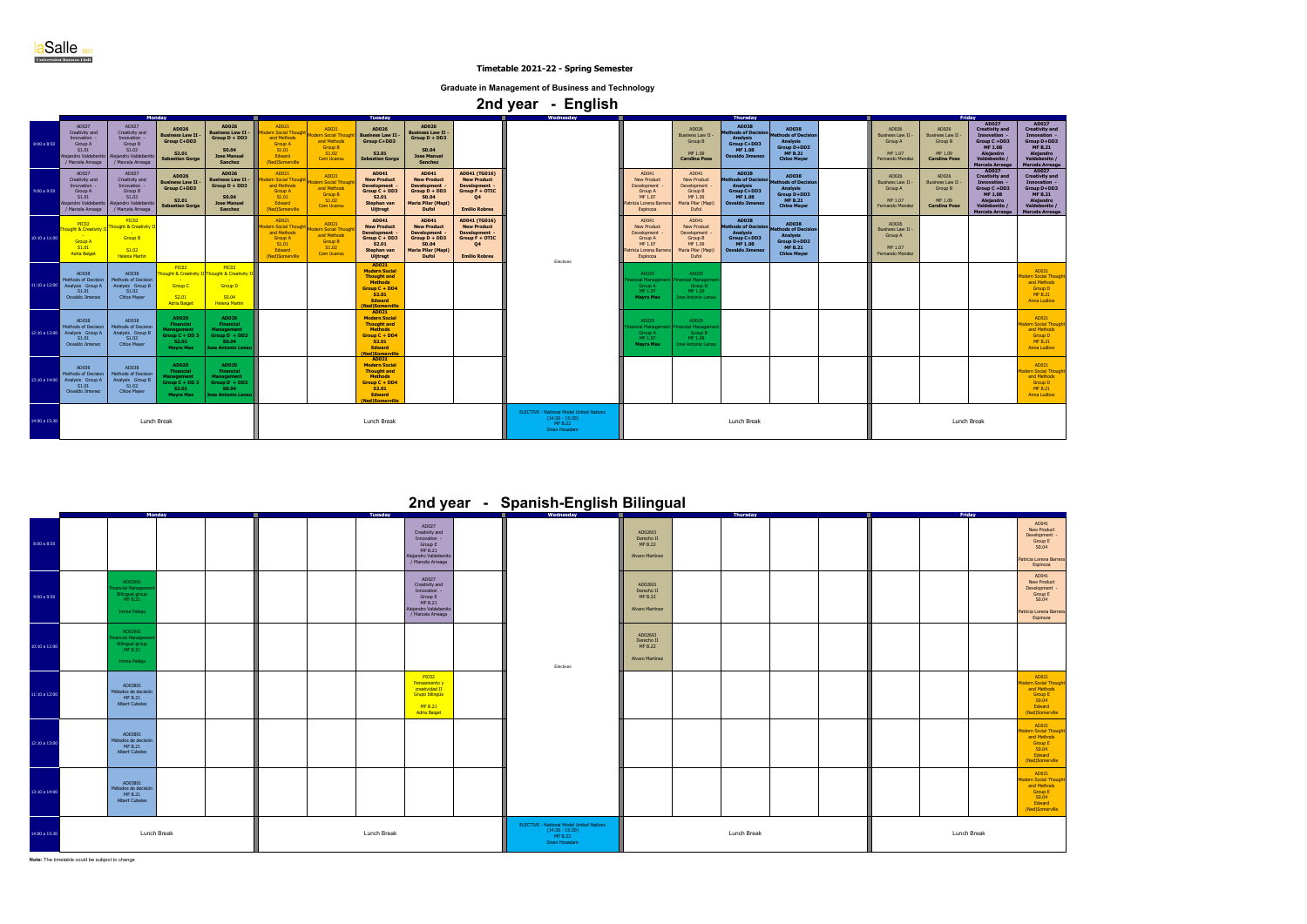|               |                                                                                                                     |                                                                                                           | <b>Monday</b>                                                                                 |                                                                                                       |                                                                                                   |                                                                                           | <b>Tuesday</b>                                                                                                                                    |                                                                                                                          |                                                                                                                  | $\cdot$ $\cdot$ $\cdot$<br>ັ<br>Wednesday |                                                                                                             |                                                                                                 | Friday                                                                                                                      |                                                                                                                             |                                                                            |                                                                          |                                                                                                                                                 |                                                                                                                                       |
|---------------|---------------------------------------------------------------------------------------------------------------------|-----------------------------------------------------------------------------------------------------------|-----------------------------------------------------------------------------------------------|-------------------------------------------------------------------------------------------------------|---------------------------------------------------------------------------------------------------|-------------------------------------------------------------------------------------------|---------------------------------------------------------------------------------------------------------------------------------------------------|--------------------------------------------------------------------------------------------------------------------------|------------------------------------------------------------------------------------------------------------------|-------------------------------------------|-------------------------------------------------------------------------------------------------------------|-------------------------------------------------------------------------------------------------|-----------------------------------------------------------------------------------------------------------------------------|-----------------------------------------------------------------------------------------------------------------------------|----------------------------------------------------------------------------|--------------------------------------------------------------------------|-------------------------------------------------------------------------------------------------------------------------------------------------|---------------------------------------------------------------------------------------------------------------------------------------|
| 8:00 a 8:50   | AD027<br>Creativity and<br>Innovation -<br><b>Group A</b><br>S1.01<br><b>Nejandro Valdeben</b><br>/ Marcela Arreaga | AD027<br>Creativity and<br>Innovation -<br>Group B<br>S1.02<br>lejandro Valdebenit<br>Marcela Arreaga     | AD026<br><b>Business Law II</b><br>Group C+DD3<br>S2.01<br><b>Sebastian Gorga</b>             | AD026<br><b>Business Law II -</b><br>$Group D + DD3$<br>S0.04<br><b>Jose Manuel</b><br><b>Sanchez</b> | AD021<br>rn Social Thoug<br>and Methods<br><b>Group A</b><br>S1.01<br>Edward<br>(Ned)Somerville   | AD021<br><b>dern Social Thou</b><br>and Methods<br><b>Group B</b><br>S1.02<br>Cem Ucansu  | AD026<br><b>Business Law II</b><br>Group C+DD3<br>S <sub>2.01</sub><br><b>Sebastian Gorga</b>                                                     | AD026<br>Business Law II $\cdot$<br>Group D + DD3<br>S0.04<br><b>Jose Manuel</b><br><b>Sanchez</b>                       |                                                                                                                  |                                           |                                                                                                             | AD026<br><b>Business Law II</b><br>Group B<br>MF 1.09<br><b>Carolina Pose</b>                   | <b>Thursday</b><br>AD038<br>thods of Decision<br><b>Analysis</b><br>Group C+DD3<br><b>MF 1.08</b><br><b>Osvaldo Jimenez</b> | <b>AD038</b><br><b>Methods of Decision</b><br><b>Analysis</b><br>Group D+DD3<br><b>MF B.21</b><br><b>Chloe Maver</b>        | AD026<br><b>Business Law II -</b><br>Group A<br>MF 1.07<br>Fernando Mendez | AD026<br>Business Law II -<br>Group B<br>MF 1.09<br><b>Carolina Pose</b> | AD027<br><b>Creativity and</b><br>Innovation -<br>Group C +DD3<br><b>MF 1.08</b><br><b>Alejandro</b><br>Valdebenito /<br>Marcela Arreaga        | AD027<br><b>Creativity and</b><br>Innovation -<br>Group D+DD3<br><b>MF B.21</b><br><b>Aleiandro</b><br>Valdebenito<br>Marcela Arreaga |
| 9:00a9:50     | AD027<br>Creativity and<br>Innovation -<br>Group A<br>S1.01<br>Alejandro Valdebenito<br>/ Marcela Arreaga           | AD027<br>Creativity and<br>Innovation -<br>Group B<br>S1.02<br>Alejandro Valdebenito<br>/ Marcela Arreaga | AD026<br><b>Business Law II</b><br>Group C+DD3<br>S <sub>2.01</sub><br><b>Sebastian Gorga</b> | AD026<br><b>Business Law II .</b><br>$Group D + DD3$<br>S0.04<br><b>Jose Manuel</b><br><b>Sanchez</b> | AD021<br>dern Social Thoug<br>and Methods<br><b>Group A</b><br>S1.01<br>Edward<br>(Ned)Somerville | AD021<br>dern Social Thoud<br>and Methods<br><b>Group B</b><br>S1.02<br>Cem Ucansu        | AD041<br><b>New Product</b><br><b>Development</b><br>Group C + DD3<br><b>S2.01</b><br>Stephan van<br><b>Uijtregt</b>                              | AD041<br><b>New Product</b><br><b>Development</b><br>Group D + DD3<br>S0.04<br><b>Maria Pilar (Mapi)</b><br><b>Dufol</b> | AD041 (TG016)<br><b>New Product</b><br>Development -<br>Group F + OTIC<br>Q4<br><b>Emilio Robres</b>             |                                           | AD041<br><b>New Product</b><br><b>Development</b><br>Group A<br>MF 1.07<br>ricia Lorena Barrera<br>Espinoza | AD041<br><b>New Product</b><br>Development<br>Group B<br>MF 1.09<br>Maria Pilar (Mapi)<br>Dufol | <b>AD038</b><br>ethods of Decision<br><b>Analysis</b><br>Group C+DD3<br><b>MF1.08</b><br><b>Osvaldo Jimenez</b>             | <b>AD038</b><br><b>Methods of Decision</b><br><b>Analysis</b><br><b>Group D+DD3</b><br><b>MF B.21</b><br><b>Chloe Mayer</b> | AD026<br>Business Law II -<br>Group A<br>MF 1.07<br>Fernando Mendez        | AD026<br>Business Law II -<br>Group B<br>MF 1.09<br><b>Carolina Pose</b> | AD027<br><b>Creativity and</b><br>Innovation -<br>Group C +DD3<br><b>MF 1.08</b><br><b>Alejandro</b><br>Valdebenito /<br><b>Marcela Arreaga</b> | AD027<br><b>Creativity and</b><br>Innovation -<br>Group D+DD3<br><b>MF B.21</b><br>Alejandro<br>Valdebenito /<br>Marcela Arreaga      |
| 10:10a11:00   | PIC <sub>02</sub><br><b>Thought &amp; Creativity I</b><br><b>Group A</b><br>S1.01<br><b>Adria Baiget</b>            | PIC <sub>02</sub><br>ught & Creativity I<br><b>Group B</b><br>S1.02<br><b>Helena Martin</b>               |                                                                                               |                                                                                                       | AD021<br>n Social Tho<br>and Methods<br><b>Group A</b><br>S1.01<br>Edward<br>(Ned)Somerville      | AD021<br><b>Jern Social Thoud</b><br>and Methods<br><b>Group B</b><br>S1.02<br>Cem Ucansu | AD041<br><b>New Product</b><br><b>Development</b><br>Group C + DD3<br><b>S2.01</b><br>Stephan van<br><b>Uijtregt</b>                              | AD041<br><b>New Product</b><br><b>Development</b><br>Group D + DD3<br>S0.04<br><b>Maria Pilar (Mapi)</b><br><b>Dufol</b> | AD041 (TG016)<br><b>New Product</b><br>Development .<br>Group F + OTIC<br>Q <sub>4</sub><br><b>Emilio Robres</b> | Electives                                 | AD041<br><b>New Product</b><br>Development<br>Group A<br>MF 1.07<br>tricia Lorena Barrera<br>Espinoza       | AD041<br><b>New Product</b><br>Development<br>Group B<br>MF 1.09<br>Maria Pilar (Mapi)<br>Dufol | <b>AD038</b><br>thods of Decisic<br>Analysis<br><b>Group C+DD3</b><br>MF 1.08<br><b>Osvaldo Jimenez</b>                     | <b>AD038</b><br><b>Methods of Decision</b><br><b>Analysis</b><br>Group D+DD3<br><b>MF B.21</b><br><b>Chloe Mayer</b>        | AD026<br><b>Business Law II</b><br>Group A<br>MF 1.07<br>Fernando Mendez   |                                                                          |                                                                                                                                                 |                                                                                                                                       |
| 11:10 a 12:00 | AD038<br>Methods of Decision<br>Analysis Group A<br>S1.01<br>Osvaldo Jimenez                                        | AD038<br>Methods of Decision<br>Analysis Group B<br>S1.02<br><b>Chloe Mayer</b>                           | PIC02<br>ought & Creativity II<br>Group C<br>S2.01<br><b>Adria Baiget</b>                     | PIC02<br>ught & Creativity<br><b>Group D</b><br>S <sub>0.04</sub><br><b>Helena Martin</b>             |                                                                                                   |                                                                                           | AD021<br><b>Modern Social</b><br><b>Thought and</b><br><b>Methods</b><br>Group C + DD4<br><b>S2.01</b><br><b>Edward</b><br>(Ned)Somerville        |                                                                                                                          |                                                                                                                  |                                           | AD029<br>ncial Manager<br><b>Group A</b><br>MF 1.07<br><b>Mayra Mas</b>                                     | AD029<br>nancial Managemer<br>Group B<br>MF 1.09<br>Jose Antonio Lanau                          |                                                                                                                             |                                                                                                                             |                                                                            |                                                                          |                                                                                                                                                 | AD021<br>odern Social Though<br>and Methods<br><b>Group D</b><br><b>MF B.21</b><br><b>Anna Ludlow</b>                                 |
| 12:10 a 13:00 | AD038<br><b>Methods of Decision</b><br>Analysis Group A<br>S1.01<br>Osvaldo Jimenez                                 | AD038<br>Methods of Decision<br>Analysis Group B<br>S1.02<br><b>Chloe Mayer</b>                           | AD029<br><b>Financial</b><br>Management<br>Group C + DD 3<br>S2.01<br><b>Mayra Mas</b>        | AD029<br><b>Financial</b><br><b>Management</b><br>$Group D + DD3$<br>S0.04<br>Jose Antonio Lanau      |                                                                                                   |                                                                                           | AD021<br><b>Modern Social</b><br><b>Thought and</b><br><b>Methods</b><br>Group C + DD4<br><b>S2.01</b><br><b>Edward</b><br>(Ned)Somerville        |                                                                                                                          |                                                                                                                  |                                           | AD029<br>cial Manage<br>Group A<br>MF 1.07<br>Mayra Mas                                                     | AD029<br>nancial Managem<br>Group B<br>MF 1.09<br>Jose Antonio Lanau                            |                                                                                                                             |                                                                                                                             |                                                                            |                                                                          |                                                                                                                                                 | AD021<br><b>odern Social Thoug</b><br>and Methods<br><b>Group D</b><br><b>MF B.21</b><br><b>Anna Ludlow</b>                           |
| 13:10 a 14:00 | AD038<br>Methods of Decision<br>Analysis Group A<br>S1.01<br>Osvaldo Jimenez                                        | AD038<br>Methods of Decision<br>Analysis Group B<br>S1.02<br><b>Chloe Mayer</b>                           | AD029<br><b>Financial</b><br>Management<br>Group C + DD 3<br>S2.01<br><b>Mayra Mas</b>        | AD029<br><b>Financial</b><br><b>Management</b><br>$Group\ D + DD3$<br>SO.04<br>Jose Antonio Lanau     |                                                                                                   |                                                                                           | AD021<br><b>Modern Social</b><br><b>Thought and</b><br><b>Methods</b><br><b>Group C + DD4</b><br><b>S2.01</b><br><b>Edward</b><br>(Ned)Somerville |                                                                                                                          |                                                                                                                  |                                           |                                                                                                             |                                                                                                 |                                                                                                                             |                                                                                                                             |                                                                            |                                                                          |                                                                                                                                                 | AD021<br><b>odern Social Thoud</b><br>and Methods<br><b>Group D</b><br><b>MF B.21</b><br><b>Anna Ludlow</b>                           |
| 14:00 a 15:30 | Lunch Break                                                                                                         |                                                                                                           |                                                                                               | Lunch Break                                                                                           |                                                                                                   |                                                                                           |                                                                                                                                                   |                                                                                                                          | <b>ELECTIVE - National Model United Nations</b><br>$(14:30 - 15:20)$<br>MF B.22<br>Sinan Hosadam                 | Lunch Break                               |                                                                                                             |                                                                                                 |                                                                                                                             | Lunch Break                                                                                                                 |                                                                            |                                                                          |                                                                                                                                                 |                                                                                                                                       |

|   | AD041<br><b>New Product</b><br>Development<br>Group E<br>S0.04<br>Patricia Lorena Barrera<br>Espinoza                           |
|---|---------------------------------------------------------------------------------------------------------------------------------|
|   | AD041<br><b>New Product</b><br>Development<br>Group E<br>S <sub>0.04</sub><br>Patricia Lorena Barrera<br>Espinoza               |
|   |                                                                                                                                 |
|   | AD021<br><b>Modern Social Thought</b><br>and Methods<br><b>Group E</b><br>S <sub>0.04</sub><br><b>Edward</b><br>(Ned)Somerville |
|   | AD021<br><b>Modern Social Thought</b><br>and Methods<br><b>Group E</b><br>S <sub>0.04</sub><br><b>Edward</b><br>(Ned)Somerville |
|   | AD021<br><b>Modern Social Thought</b><br>and Methods<br><b>Group E</b><br>S <sub>0.04</sub><br><b>Edward</b><br>(Ned)Somerville |
| k |                                                                                                                                 |

**Note:** The timetable could be subject to change

|               | Monday                                                                    | <b>Tuesday</b>                                                                                              | Wednesday                                                                                        | Friday<br>Thursday                                         |             |  |  |  |  |
|---------------|---------------------------------------------------------------------------|-------------------------------------------------------------------------------------------------------------|--------------------------------------------------------------------------------------------------|------------------------------------------------------------|-------------|--|--|--|--|
| 8:00 a 8:50   |                                                                           | AD027<br>Creativity and<br>Innovation -<br>Group E<br>MF B.21<br>Alejandro Valdebenito<br>/ Marcela Arreaga |                                                                                                  | AD02601<br>Derecho II<br>MF B.22<br><b>Alvaro Martinez</b> |             |  |  |  |  |
| 9:00a9:50     | AD02901<br>nancial Managem<br>Bilingual group<br>MF B.21<br>Imma Palleja  | AD027<br>Creativity and<br>Innovation -<br>Group E<br>MF B.21<br>Alejandro Valdebenito<br>/ Marcela Arreaga |                                                                                                  | AD02601<br>Derecho II<br><b>MF B.22</b><br>Alvaro Martinez |             |  |  |  |  |
| 10:10a 11:00  | AD02901<br>nancial Manageme<br>Bilingual group<br>MF B.21<br>Imma Palleja |                                                                                                             | Electives                                                                                        | AD02601<br>Derecho II<br><b>MF B.22</b><br>Alvaro Martinez |             |  |  |  |  |
| 11:10 a 12:00 | AD03801<br>Métodos de decisión<br>MF B.21<br>Albert Cubeles               | PIC02<br>Pensamiento y<br>creatividad II<br>Grupo bilingüe<br>MF B.21<br><b>Adria Baiget</b>                |                                                                                                  |                                                            |             |  |  |  |  |
| 12:10 a 13:00 | AD03801<br>Métodos de decisión<br>MF B.21<br>Albert Cubeles               |                                                                                                             |                                                                                                  |                                                            |             |  |  |  |  |
| 13:10 a 14:00 | AD03801<br>Métodos de decisión<br>MF B.21<br>Albert Cubeles               |                                                                                                             |                                                                                                  |                                                            |             |  |  |  |  |
| 14:00 a 15:30 | Lunch Break                                                               | Lunch Break                                                                                                 | <b>ELECTIVE - National Model United Nations</b><br>$(14:30 - 15:20)$<br>MF B.22<br>Sinan Hosadam | <b>Lunch Break</b>                                         | Lunch Break |  |  |  |  |

## **2nd year - Spanish-English Bilingual**

**aSalle** BES

 **Timetable 2021-22 - Spring Semester**

**Graduate in Management of Business and Technology**

|  | 2nd year |  | <b>English</b> |  |
|--|----------|--|----------------|--|
|--|----------|--|----------------|--|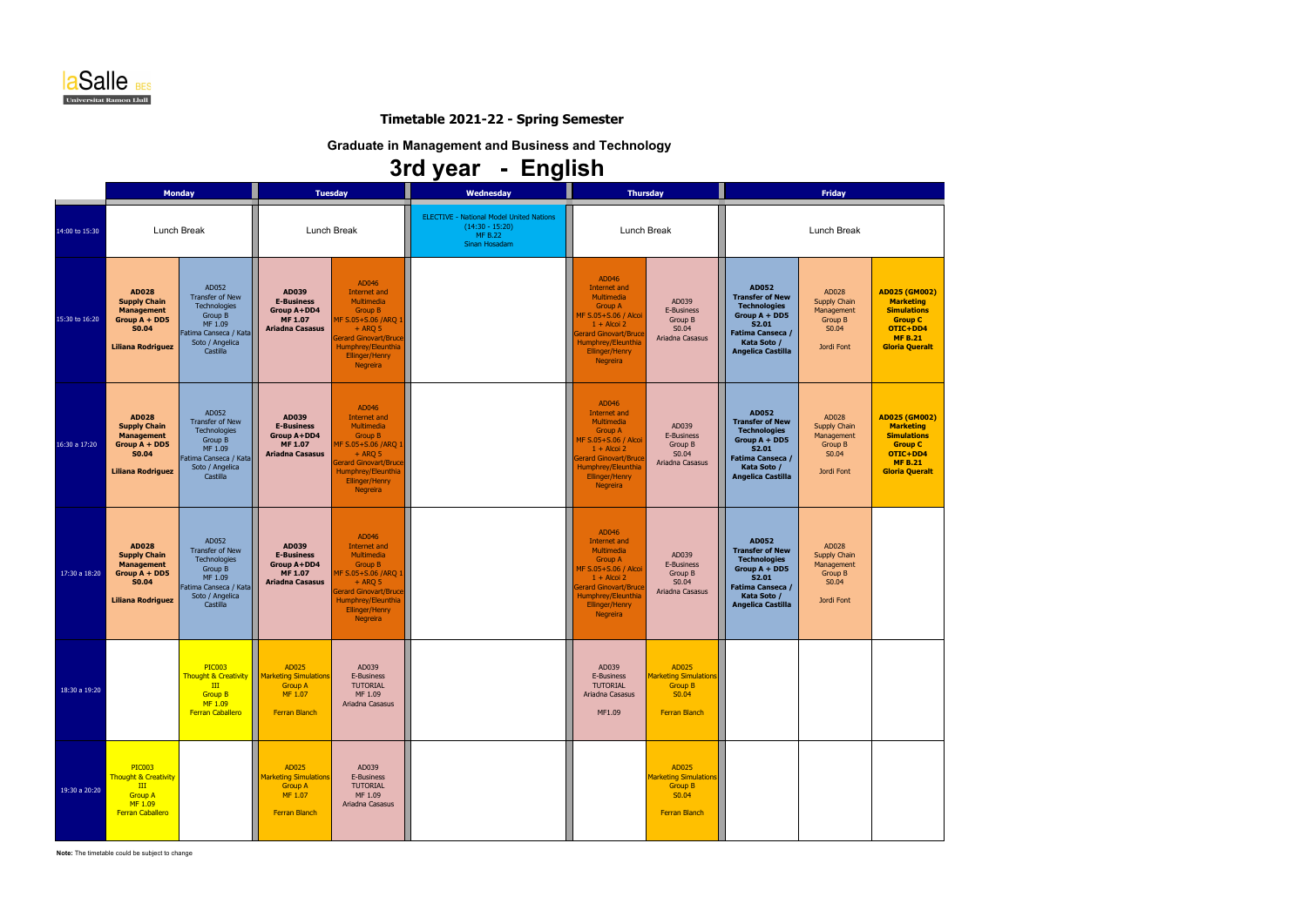|                |                                                                                                                         | <b>Monday</b>                                                                                                          |                                                                                                              | <b>Tuesday</b>                                                                                                                                                                              | Wednesday                                                                                               | <b>Thursday</b>                                                                                                                                                                                  |                                                                                          |                                                                                                                                                                 | <b>Friday</b>                                                                       |                                                                                                                                         |  |
|----------------|-------------------------------------------------------------------------------------------------------------------------|------------------------------------------------------------------------------------------------------------------------|--------------------------------------------------------------------------------------------------------------|---------------------------------------------------------------------------------------------------------------------------------------------------------------------------------------------|---------------------------------------------------------------------------------------------------------|--------------------------------------------------------------------------------------------------------------------------------------------------------------------------------------------------|------------------------------------------------------------------------------------------|-----------------------------------------------------------------------------------------------------------------------------------------------------------------|-------------------------------------------------------------------------------------|-----------------------------------------------------------------------------------------------------------------------------------------|--|
| 14:00 to 15:30 |                                                                                                                         | <b>Lunch Break</b>                                                                                                     |                                                                                                              | Lunch Break                                                                                                                                                                                 | <b>ELECTIVE - National Model United Nations</b><br>$(14:30 - 15:20)$<br><b>MF B.22</b><br>Sinan Hosadam | Lunch Break                                                                                                                                                                                      |                                                                                          | Lunch Break                                                                                                                                                     |                                                                                     |                                                                                                                                         |  |
| 15:30 to 16:20 | <b>AD028</b><br><b>Supply Chain</b><br><b>Management</b><br>Group $A + DDS$<br><b>S0.04</b><br><b>Liliana Rodriguez</b> | AD052<br>Transfer of New<br>Technologies<br>Group B<br>MF 1.09<br>Fatima Canseca / Kata<br>Soto / Angelica<br>Castilla | AD039<br><b>E-Business</b><br>Group A+DD4<br><b>MF 1.07</b><br><b>Ariadna Casasus</b>                        | AD046<br>Internet and<br>Multimedia<br><b>Group B</b><br>MF S.05+S.06 /ARQ 1<br>$+$ ARO 5<br><b>Gerard Ginovart/Bruce</b><br>Humphrey/Eleunthia<br><b>Ellinger/Henry</b><br><b>Negreira</b> |                                                                                                         | AD046<br>Internet and<br>Multimedia<br><b>Group A</b><br>MF S.05+S.06 / Alcoi<br>$1 +$ Alcoi 2<br><b>Gerard Ginovart/Bruce</b><br>Humphrey/Eleunthia<br>Ellinger/Henry<br><b>Negreira</b>        | AD039<br>E-Business<br>Group B<br>S0.04<br>Ariadna Casasus                               | AD052<br><b>Transfer of New</b><br><b>Technologies</b><br>Group $A + DDS$<br>S2.01<br><b>Fatima Canseca /</b><br>Kata Soto /<br><b>Angelica Castilla</b>        | AD028<br><b>Supply Chain</b><br>Management<br><b>Group B</b><br>S0.04<br>Jordi Font | AD025 (GM002)<br><b>Marketing</b><br><b>Simulations</b><br><b>Group C</b><br>OTIC+DD4<br><b>MF B.21</b><br><b>Gloria Queralt</b>        |  |
| 16:30 a 17:20  | <b>AD028</b><br><b>Supply Chain</b><br><b>Management</b><br>Group A + DD5<br><b>S0.04</b><br><b>Liliana Rodriguez</b>   | AD052<br>Transfer of New<br>Technologies<br>Group B<br>MF 1.09<br>Fatima Canseca / Kata<br>Soto / Angelica<br>Castilla | AD039<br><b>E-Business</b><br>Group A+DD4<br><b>MF 1.07</b><br><b>Ariadna Casasus</b>                        | AD046<br>Internet and<br>Multimedia<br><b>Group B</b><br>MF S.05+S.06 /ARQ 1<br>$+$ ARQ 5<br><b>Gerard Ginovart/Bruce</b><br>Humphrey/Eleunthia<br><b>Ellinger/Henry</b><br><b>Negreira</b> |                                                                                                         | AD046<br>Internet and<br>Multimedia<br><b>Group A</b><br>MF S.05+S.06 / Alcoi<br>$1 +$ Alcoi 2<br><b>Gerard Ginovart/Bruce</b><br>Humphrey/Eleunthia<br><b>Ellinger/Henry</b><br><b>Negreira</b> | AD039<br>E-Business<br>Group B<br>S0.04<br>Ariadna Casasus                               | <b>AD052</b><br><b>Transfer of New</b><br><b>Technologies</b><br>Group $A + DDS$<br>S2.01<br><b>Fatima Canseca /</b><br>Kata Soto /<br><b>Angelica Castilla</b> | AD028<br>Supply Chain<br>Management<br>Group B<br>S0.04<br>Jordi Font               | <b>AD025 (GM002)</b><br><b>Marketing</b><br><b>Simulations</b><br><b>Group C</b><br>OTIC+DD4<br><b>MF B.21</b><br><b>Gloria Queralt</b> |  |
| 17:30 a 18:20  | <b>AD028</b><br><b>Supply Chain</b><br><b>Management</b><br>Group A + DD5<br><b>S0.04</b><br><b>Liliana Rodriguez</b>   | AD052<br>Transfer of New<br>Technologies<br>Group B<br>MF 1.09<br>Fatima Canseca / Kata<br>Soto / Angelica<br>Castilla | AD039<br><b>E-Business</b><br>Group A+DD4<br><b>MF 1.07</b><br><b>Ariadna Casasus</b>                        | AD046<br>Internet and<br>Multimedia<br><b>Group B</b><br>MF S.05+S.06 /ARQ 1<br>$+$ ARQ 5<br><b>Gerard Ginovart/Bruce</b><br>Humphrey/Eleunthia<br><b>Ellinger/Henry</b><br><b>Negreira</b> |                                                                                                         | AD046<br>Internet and<br>Multimedia<br><b>Group A</b><br>MF S.05+S.06 / Alcoi<br>$1 +$ Alcoi 2<br><b>Gerard Ginovart/Bruce</b><br>Humphrey/Eleunthia<br>Ellinger/Henry<br><b>Negreira</b>        | AD039<br>E-Business<br>Group B<br>S0.04<br>Ariadna Casasus                               | <b>AD052</b><br><b>Transfer of New</b><br><b>Technologies</b><br>Group $A + DDS$<br>S2.01<br><b>Fatima Canseca /</b><br>Kata Soto /<br><b>Angelica Castilla</b> | AD028<br><b>Supply Chain</b><br>Management<br><b>Group B</b><br>S0.04<br>Jordi Font |                                                                                                                                         |  |
| 18:30 a 19:20  |                                                                                                                         | <b>PIC003</b><br>III<br><b>Group B</b><br>MF 1.09<br><b>Ferran Caballero</b>                                           | AD025<br>Thought & Creativity   Marketing Simulations  <br><b>Group A</b><br>MF 1.07<br><b>Ferran Blanch</b> | AD039<br>E-Business<br><b>TUTORIAL</b><br>MF 1.09<br>Ariadna Casasus                                                                                                                        |                                                                                                         | AD039<br>E-Business<br><b>TUTORIAL</b><br>Ariadna Casasus<br>MF1.09                                                                                                                              | AD025<br><b>Marketing Simulations</b><br><b>Group B</b><br>S0.04<br><b>Ferran Blanch</b> |                                                                                                                                                                 |                                                                                     |                                                                                                                                         |  |
| 19:30 a 20:20  | <b>PIC003</b><br><b>Thought &amp; Creativity</b><br>III<br><b>Group A</b><br>MF 1.09<br><b>Ferran Caballero</b>         |                                                                                                                        | AD025<br><b>Marketing Simulations</b><br><b>Group A</b><br>MF 1.07<br>Ferran Blanch                          | AD039<br>E-Business<br><b>TUTORIAL</b><br>MF 1.09<br>Ariadna Casasus                                                                                                                        |                                                                                                         |                                                                                                                                                                                                  | AD025<br><b>Marketing Simulations</b><br><b>Group B</b><br>S0.04<br><b>Ferran Blanch</b> |                                                                                                                                                                 |                                                                                     |                                                                                                                                         |  |

**Note:** The timetable could be subject to change



### **Timetable 2021-22 - Spring Semester**

**Graduate in Management and Business and Technology**

# **3rd year - English**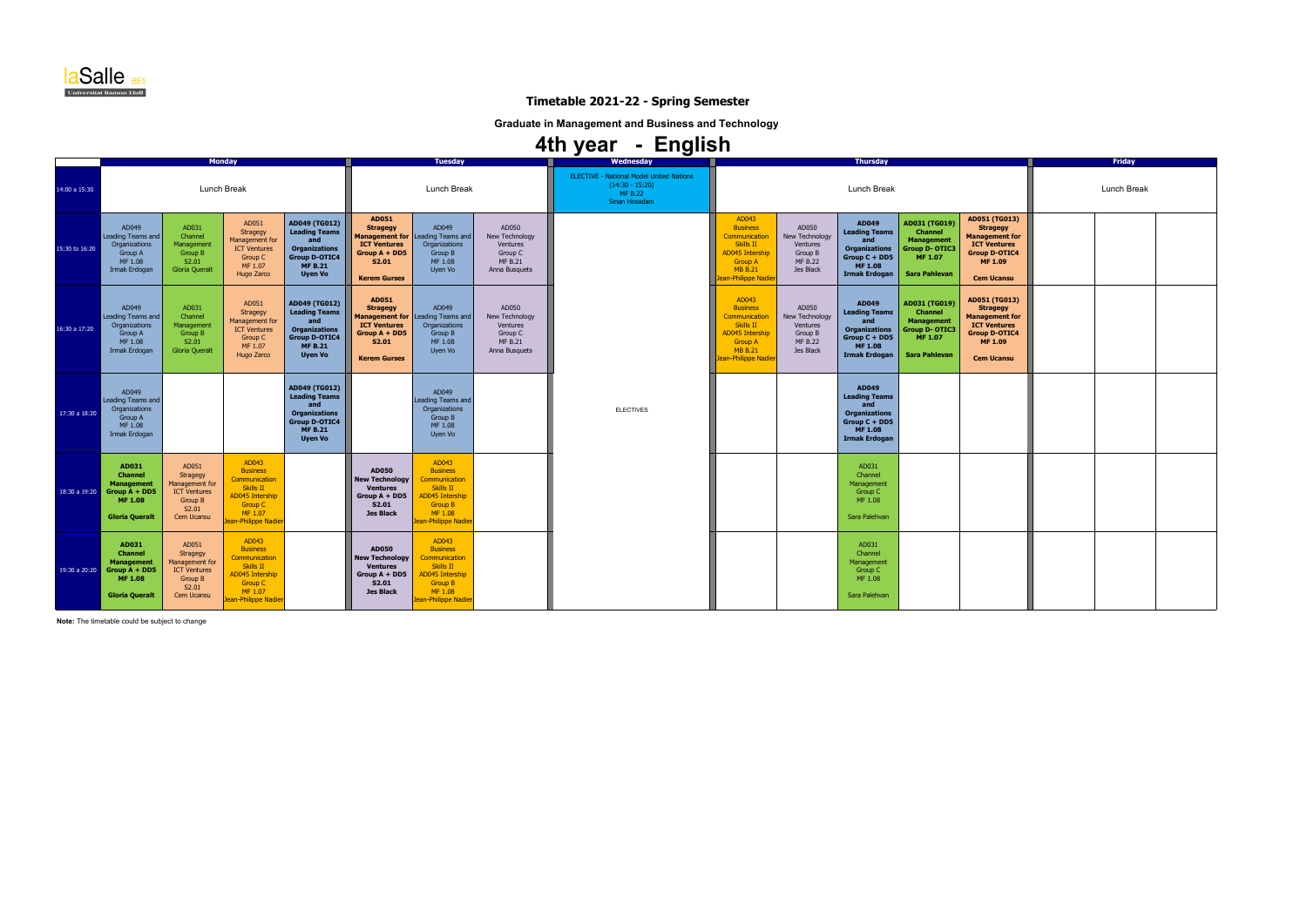|                |                                                                                                                |                                                                                                     | <b>Monday</b>                                                                                                                                       |                                                                                                                                  | <b>Tuesday</b>                                                                                                                        |                                                                                                                                              | Wednesday                                                                                | <b>Thursday</b>                                                                                         |                                                                                                                                                    |                                                                               |                                                                                                                         |                                                                                                                         |                                                                                                                                          | <b>Friday</b> |  |  |
|----------------|----------------------------------------------------------------------------------------------------------------|-----------------------------------------------------------------------------------------------------|-----------------------------------------------------------------------------------------------------------------------------------------------------|----------------------------------------------------------------------------------------------------------------------------------|---------------------------------------------------------------------------------------------------------------------------------------|----------------------------------------------------------------------------------------------------------------------------------------------|------------------------------------------------------------------------------------------|---------------------------------------------------------------------------------------------------------|----------------------------------------------------------------------------------------------------------------------------------------------------|-------------------------------------------------------------------------------|-------------------------------------------------------------------------------------------------------------------------|-------------------------------------------------------------------------------------------------------------------------|------------------------------------------------------------------------------------------------------------------------------------------|---------------|--|--|
| 14:00 a 15:30  |                                                                                                                | <b>Lunch Break</b>                                                                                  |                                                                                                                                                     |                                                                                                                                  |                                                                                                                                       | <b>Lunch Break</b>                                                                                                                           |                                                                                          | <b>ELECTIVE - National Model United Nations</b><br>$(14:30 - 15:20)$<br><b>MF B.22</b><br>Sinan Hosadam |                                                                                                                                                    |                                                                               | <b>Lunch Break</b>                                                                                                      |                                                                                                                         | <b>Lunch Break</b>                                                                                                                       |               |  |  |
| 15:30 to 16:20 | AD049<br>eading Teams and<br>Organizations<br>Group A<br>MF 1.08<br>Irmak Erdogan                              | AD031<br>Channel<br>Management<br>Group B<br>S2.01<br><b>Gloria Queralt</b>                         | AD051<br><b>Stragegy</b><br>Management for<br><b>ICT Ventures</b><br>Group C<br>MF 1.07<br><b>Hugo Zarco</b>                                        | AD049 (TG012)<br><b>Leading Teams</b><br>and<br><b>Organizations</b><br><b>Group D-OTIC4</b><br><b>MF B.21</b><br><b>Uyen Vo</b> | AD051<br><b>Stragegy</b><br><b>Management for</b><br><b>ICT Ventures</b><br>Group A + DD5<br>S <sub>2.01</sub><br><b>Kerem Gurses</b> | AD049<br><b>Leading Teams and</b><br>Organizations<br>Group B<br>MF 1.08<br>Uyen Vo                                                          | AD050<br>New Technology<br>Ventures<br>Group C<br><b>MF B.21</b><br>Anna Busquets        |                                                                                                         | AD043<br><b>Business</b><br>Communication<br>Skills II<br><b>AD045 Intership</b><br><b>Group A</b><br><b>MB B.21</b><br>an-Philippe Nadie          | AD050<br>New Technology<br>Ventures<br>Group B<br><b>MF B.22</b><br>Jes Black | AD049<br><b>Leading Teams</b><br>and<br><b>Organizations</b><br>Group C + DD5<br><b>MF 1.08</b><br><b>Irmak Erdogan</b> | AD031 (TG019)<br><b>Channel</b><br><b>Management</b><br><b>Group D- OTIC3</b><br><b>MF 1.07</b><br><b>Sara Pahlevan</b> | AD051 (TG013)<br><b>Stragegy</b><br><b>Management for</b><br><b>ICT Ventures</b><br><b>Group D-OTIC4</b><br>MF 1.09<br><b>Cem Ucansu</b> |               |  |  |
| 16:30 a 17:20  | AD049<br>eading Teams and<br><b>Organizations</b><br>Group A<br>MF 1.08<br>Irmak Erdogan                       | AD031<br>Channel<br>Management<br>Group B<br>S2.01<br><b>Gloria Queralt</b>                         | AD051<br><b>Stragegy</b><br>Management for<br><b>ICT Ventures</b><br>Group C<br>MF 1.07<br>Hugo Zarco                                               | AD049 (TG012)<br><b>Leading Teams</b><br>and<br><b>Organizations</b><br><b>Group D-OTIC4</b><br><b>MF B.21</b><br><b>Uyen Vo</b> | <b>AD051</b><br><b>Stragegy</b><br>Management for<br><b>ICT Ventures</b><br>Group A + DD5<br><b>S2.01</b><br><b>Kerem Gurses</b>      | AD049<br>Leading Teams and<br>Organizations<br>Group B<br>MF 1.08<br>Uyen Vo                                                                 | AD050<br>New Technology<br><b>Ventures</b><br>Group C<br><b>MF B.21</b><br>Anna Busquets |                                                                                                         | AD043<br><b>Business</b><br><b>Communication</b><br>Skills II<br><b>AD045 Intership</b><br><b>Group A</b><br><b>MB B.21</b><br>ean-Philippe Nadier | AD050<br>New Technology<br>Ventures<br>Group B<br><b>MF B.22</b><br>Jes Black | AD049<br><b>Leading Teams</b><br>and<br><b>Organizations</b><br>Group C + DD5<br><b>MF 1.08</b><br><b>Irmak Erdogan</b> | AD031 (TG019)<br><b>Channel</b><br><b>Management</b><br><b>Group D- OTIC3</b><br><b>MF 1.07</b><br><b>Sara Pahlevan</b> | AD051 (TG013)<br><b>Stragegy</b><br><b>Management for</b><br><b>ICT Ventures</b><br><b>Group D-OTIC4</b><br>MF 1.09<br><b>Cem Ucansu</b> |               |  |  |
| 17:30 a 18:20  | AD049<br>eading Teams and<br>Organizations<br>Group A<br>MF 1.08<br>Irmak Erdogan                              |                                                                                                     |                                                                                                                                                     | AD049 (TG012)<br><b>Leading Teams</b><br>and<br><b>Organizations</b><br><b>Group D-OTIC4</b><br><b>MF B.21</b><br><b>Uyen Vo</b> |                                                                                                                                       | AD049<br>Leading Teams and<br>Organizations<br>Group B<br>MF 1.08<br>Uyen Vo                                                                 |                                                                                          | <b>ELECTIVES</b>                                                                                        |                                                                                                                                                    |                                                                               | AD049<br><b>Leading Teams</b><br>and<br><b>Organizations</b><br>Group C + DD5<br><b>MF 1.08</b><br><b>Irmak Erdogan</b> |                                                                                                                         |                                                                                                                                          |               |  |  |
| 18:30 a 19:20  | AD031<br><b>Channel</b><br><b>Management</b><br>Group $A + DDS$<br><b>MF1.08</b><br><b>Gloria Queralt</b>      | AD051<br><b>Stragegy</b><br>Management for<br><b>ICT Ventures</b><br>Group B<br>S2.01<br>Cem Ucansu | AD043<br><b>Business</b><br><b>Communication</b><br>Skills II<br><b>AD045 Intership</b><br><b>Group C</b><br>MF 1.07<br>ean-Philippe Nadier         |                                                                                                                                  | <b>AD050</b><br><b>New Technology</b><br><b>Ventures</b><br>Group $A + DDS$<br><b>S2.01</b><br><b>Jes Black</b>                       | AD043<br><b>Business</b><br><b>Communication</b><br>Skills II<br><b>AD045 Intership</b><br><b>Group B</b><br>MF 1.08<br>ean-Philippe Nadie   |                                                                                          |                                                                                                         |                                                                                                                                                    |                                                                               | AD031<br>Channel<br>Management<br>Group C<br>MF 1.08<br>Sara Palehvan                                                   |                                                                                                                         |                                                                                                                                          |               |  |  |
| 19:30 a 20:20  | AD031<br><b>Channel</b><br><b>Management</b><br><b>Group A + DD5</b><br><b>MF1.08</b><br><b>Gloria Queralt</b> | AD051<br><b>Stragegy</b><br>Management for<br><b>ICT Ventures</b><br>Group B<br>S2.01<br>Cem Ucansu | AD043<br><b>Business</b><br><b>Communication</b><br><b>Skills II</b><br><b>AD045 Intership</b><br><b>Group C</b><br>MF 1.07<br>Jean-Philippe Nadier |                                                                                                                                  | <b>AD050</b><br><b>New Technology</b><br><b>Ventures</b><br>Group A + DD5<br><b>S2.01</b><br><b>Jes Black</b>                         | AD043<br><b>Business</b><br><b>Communication</b><br>Skills II<br><b>AD045 Intership</b><br><b>Group B</b><br>MF 1.08<br>Jean-Philippe Nadier |                                                                                          |                                                                                                         |                                                                                                                                                    |                                                                               | AD031<br>Channel<br>Management<br>Group C<br>MF 1.08<br>Sara Palehvan                                                   |                                                                                                                         |                                                                                                                                          |               |  |  |

**Note:** The timetable could be subject to change

# **4th year - English**



### **Timetable 2021-22 - Spring Semester**

**Graduate in Management and Business and Technology**